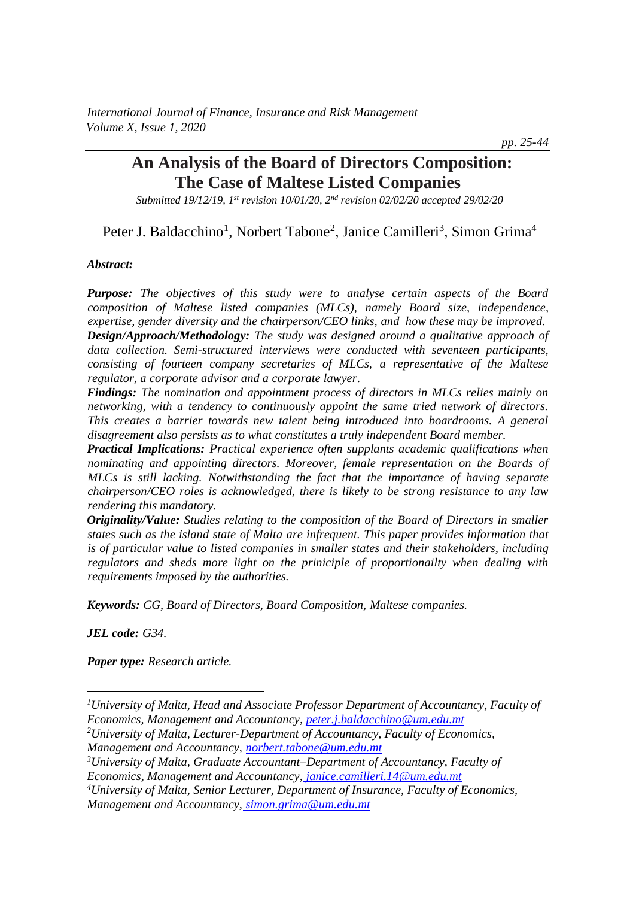*International Journal of Finance, Insurance and Risk Management Volume X, Issue 1, 2020*

*pp. 25-44*

# **An Analysis of the Board of Directors Composition: The Case of Maltese Listed Companies**

*Submitted 19/12/19, 1st revision 10/01/20, 2nd revision 02/02/20 accepted 29/02/20*

# Peter J. Baldacchino<sup>1</sup>, Norbert Tabone<sup>2</sup>, Janice Camilleri<sup>3</sup>, Simon Grima<sup>4</sup>

#### *Abstract:*

*Purpose: The objectives of this study were to analyse certain aspects of the Board composition of Maltese listed companies (MLCs), namely Board size, independence, expertise, gender diversity and the chairperson/CEO links, and how these may be improved. Design/Approach/Methodology: The study was designed around a qualitative approach of data collection. Semi-structured interviews were conducted with seventeen participants, consisting of fourteen company secretaries of MLCs, a representative of the Maltese regulator, a corporate advisor and a corporate lawyer.*

*Findings: The nomination and appointment process of directors in MLCs relies mainly on networking, with a tendency to continuously appoint the same tried network of directors. This creates a barrier towards new talent being introduced into boardrooms. A general disagreement also persists as to what constitutes a truly independent Board member.* 

*Practical Implications: Practical experience often supplants academic qualifications when nominating and appointing directors. Moreover, female representation on the Boards of MLCs is still lacking. Notwithstanding the fact that the importance of having separate chairperson/CEO roles is acknowledged, there is likely to be strong resistance to any law rendering this mandatory.*

*Originality/Value: Studies relating to the composition of the Board of Directors in smaller states such as the island state of Malta are infrequent. This paper provides information that is of particular value to listed companies in smaller states and their stakeholders, including regulators and sheds more light on the priniciple of proportionailty when dealing with requirements imposed by the authorities.*

*Keywords: CG, Board of Directors, Board Composition, Maltese companies.*

*JEL code: G34.*

*Paper type: Research article.*

- *<sup>2</sup>University of Malta, Lecturer-Department of Accountancy, Faculty of Economics, Management and Accountancy, norbert.tabone@um.edu.mt*
- *<sup>3</sup>University of Malta, Graduate Accountant–Department of Accountancy, Faculty of Economics, Management and Accountancy, janice.camilleri.14@um.edu.mt*
- *<sup>4</sup>University of Malta, Senior Lecturer, Department of Insurance, Faculty of Economics, Management and Accountancy, simon.grima@um.edu.mt*

*<sup>1</sup>University of Malta, Head and Associate Professor Department of Accountancy, Faculty of Economics, Management and Accountancy, peter.j.baldacchino@um.edu.mt*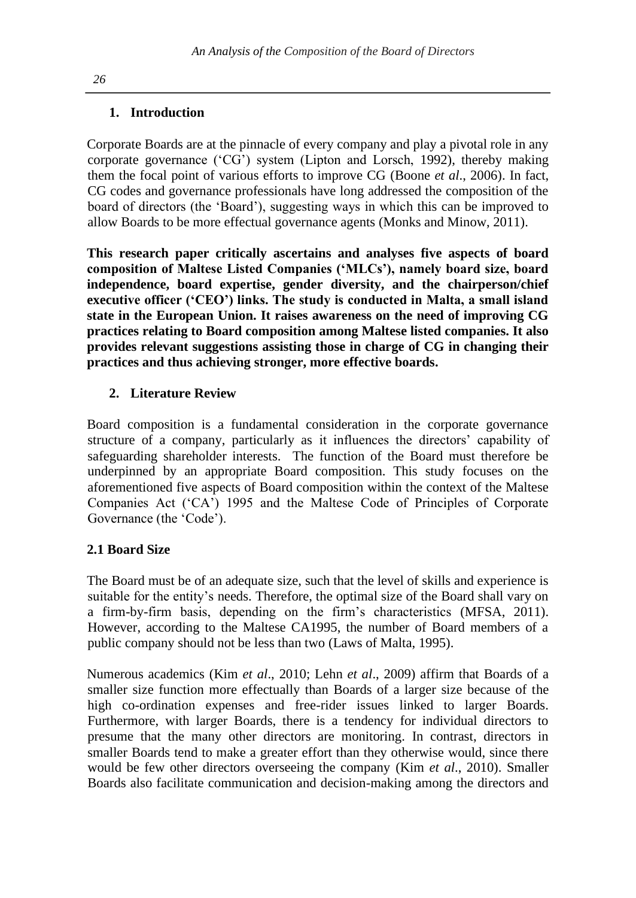# **1. Introduction**

Corporate Boards are at the pinnacle of every company and play a pivotal role in any corporate governance ('CG') system (Lipton and Lorsch, 1992), thereby making them the focal point of various efforts to improve CG (Boone *et al*., 2006). In fact, CG codes and governance professionals have long addressed the composition of the board of directors (the 'Board'), suggesting ways in which this can be improved to allow Boards to be more effectual governance agents (Monks and Minow, 2011).

**This research paper critically ascertains and analyses five aspects of board composition of Maltese Listed Companies ('MLCs'), namely board size, board independence, board expertise, gender diversity, and the chairperson/chief executive officer ('CEO') links. The study is conducted in Malta, a small island state in the European Union. It raises awareness on the need of improving CG practices relating to Board composition among Maltese listed companies. It also provides relevant suggestions assisting those in charge of CG in changing their practices and thus achieving stronger, more effective boards.**

# **2. Literature Review**

Board composition is a fundamental consideration in the corporate governance structure of a company, particularly as it influences the directors' capability of safeguarding shareholder interests. The function of the Board must therefore be underpinned by an appropriate Board composition. This study focuses on the aforementioned five aspects of Board composition within the context of the Maltese Companies Act ('CA') 1995 and the Maltese Code of Principles of Corporate Governance (the 'Code').

# **2.1 Board Size**

The Board must be of an adequate size, such that the level of skills and experience is suitable for the entity's needs. Therefore, the optimal size of the Board shall vary on a firm-by-firm basis, depending on the firm's characteristics (MFSA, 2011). However, according to the Maltese CA1995, the number of Board members of a public company should not be less than two (Laws of Malta, 1995).

Numerous academics (Kim *et al*., 2010; Lehn *et al*., 2009) affirm that Boards of a smaller size function more effectually than Boards of a larger size because of the high co-ordination expenses and free-rider issues linked to larger Boards. Furthermore, with larger Boards, there is a tendency for individual directors to presume that the many other directors are monitoring. In contrast, directors in smaller Boards tend to make a greater effort than they otherwise would, since there would be few other directors overseeing the company (Kim *et al*., 2010). Smaller Boards also facilitate communication and decision-making among the directors and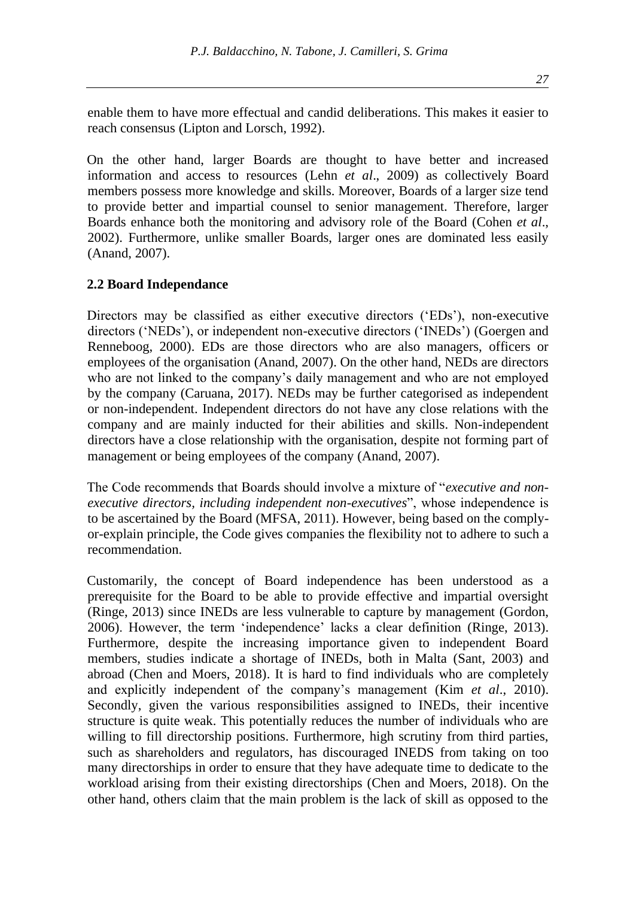enable them to have more effectual and candid deliberations. This makes it easier to reach consensus (Lipton and Lorsch, 1992).

On the other hand, larger Boards are thought to have better and increased information and access to resources (Lehn *et al*., 2009) as collectively Board members possess more knowledge and skills. Moreover, Boards of a larger size tend to provide better and impartial counsel to senior management. Therefore, larger Boards enhance both the monitoring and advisory role of the Board (Cohen *et al*., 2002). Furthermore, unlike smaller Boards, larger ones are dominated less easily (Anand, 2007).

### **2.2 Board Independance**

Directors may be classified as either executive directors ('EDs'), non-executive directors ('NEDs'), or independent non-executive directors ('INEDs') (Goergen and Renneboog, 2000). EDs are those directors who are also managers, officers or employees of the organisation (Anand, 2007). On the other hand, NEDs are directors who are not linked to the company's daily management and who are not employed by the company (Caruana, 2017). NEDs may be further categorised as independent or non-independent. Independent directors do not have any close relations with the company and are mainly inducted for their abilities and skills. Non-independent directors have a close relationship with the organisation, despite not forming part of management or being employees of the company (Anand, 2007).

The Code recommends that Boards should involve a mixture of "*executive and nonexecutive directors, including independent non-executives*", whose independence is to be ascertained by the Board (MFSA, 2011). However, being based on the complyor-explain principle, the Code gives companies the flexibility not to adhere to such a recommendation.

Customarily, the concept of Board independence has been understood as a prerequisite for the Board to be able to provide effective and impartial oversight (Ringe, 2013) since INEDs are less vulnerable to capture by management (Gordon, 2006). However, the term 'independence' lacks a clear definition (Ringe, 2013). Furthermore, despite the increasing importance given to independent Board members, studies indicate a shortage of INEDs, both in Malta (Sant, 2003) and abroad (Chen and Moers, 2018). It is hard to find individuals who are completely and explicitly independent of the company's management (Kim *et al*., 2010). Secondly, given the various responsibilities assigned to INEDs, their incentive structure is quite weak. This potentially reduces the number of individuals who are willing to fill directorship positions. Furthermore, high scrutiny from third parties, such as shareholders and regulators, has discouraged INEDS from taking on too many directorships in order to ensure that they have adequate time to dedicate to the workload arising from their existing directorships (Chen and Moers, 2018). On the other hand, others claim that the main problem is the lack of skill as opposed to the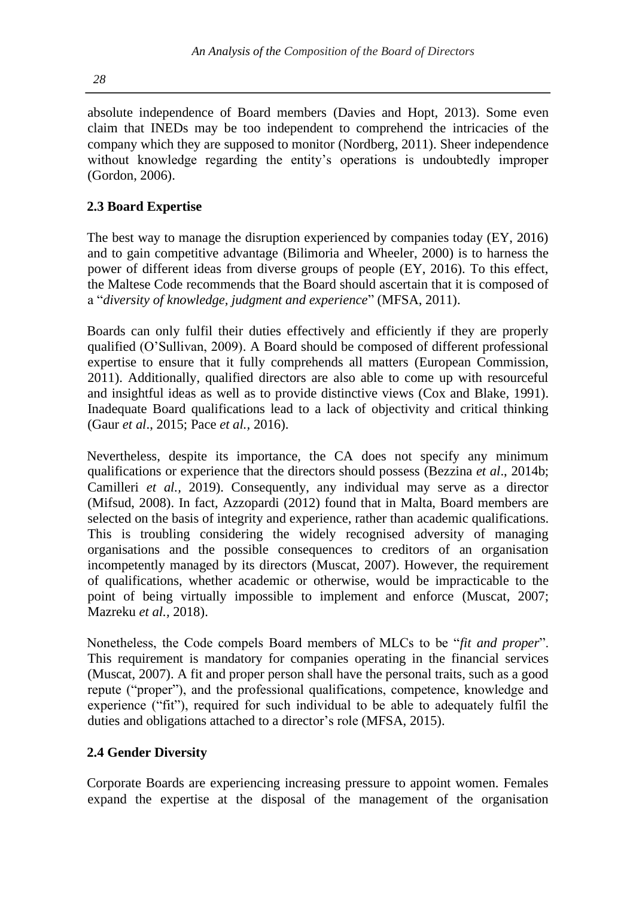absolute independence of Board members (Davies and Hopt, 2013). Some even claim that INEDs may be too independent to comprehend the intricacies of the company which they are supposed to monitor (Nordberg, 2011). Sheer independence without knowledge regarding the entity's operations is undoubtedly improper (Gordon, 2006).

# **2.3 Board Expertise**

The best way to manage the disruption experienced by companies today (EY, 2016) and to gain competitive advantage (Bilimoria and Wheeler, 2000) is to harness the power of different ideas from diverse groups of people (EY, 2016). To this effect, the Maltese Code recommends that the Board should ascertain that it is composed of a "*diversity of knowledge, judgment and experience*" (MFSA, 2011).

Boards can only fulfil their duties effectively and efficiently if they are properly qualified (O'Sullivan, 2009). A Board should be composed of different professional expertise to ensure that it fully comprehends all matters (European Commission, 2011). Additionally, qualified directors are also able to come up with resourceful and insightful ideas as well as to provide distinctive views (Cox and Blake, 1991). Inadequate Board qualifications lead to a lack of objectivity and critical thinking (Gaur *et al*., 2015; Pace *et al.,* 2016).

Nevertheless, despite its importance, the CA does not specify any minimum qualifications or experience that the directors should possess (Bezzina *et al*., 2014b; Camilleri *et al.,* 2019). Consequently, any individual may serve as a director (Mifsud, 2008). In fact, Azzopardi (2012) found that in Malta, Board members are selected on the basis of integrity and experience, rather than academic qualifications. This is troubling considering the widely recognised adversity of managing organisations and the possible consequences to creditors of an organisation incompetently managed by its directors (Muscat, 2007). However*,* the requirement of qualifications, whether academic or otherwise, would be impracticable to the point of being virtually impossible to implement and enforce (Muscat, 2007; Mazreku *et al.,* 2018).

Nonetheless, the Code compels Board members of MLCs to be "*fit and proper*". This requirement is mandatory for companies operating in the financial services (Muscat, 2007). A fit and proper person shall have the personal traits, such as a good repute ("proper"), and the professional qualifications, competence, knowledge and experience ("fit"), required for such individual to be able to adequately fulfil the duties and obligations attached to a director's role (MFSA, 2015).

# **2.4 Gender Diversity**

Corporate Boards are experiencing increasing pressure to appoint women. Females expand the expertise at the disposal of the management of the organisation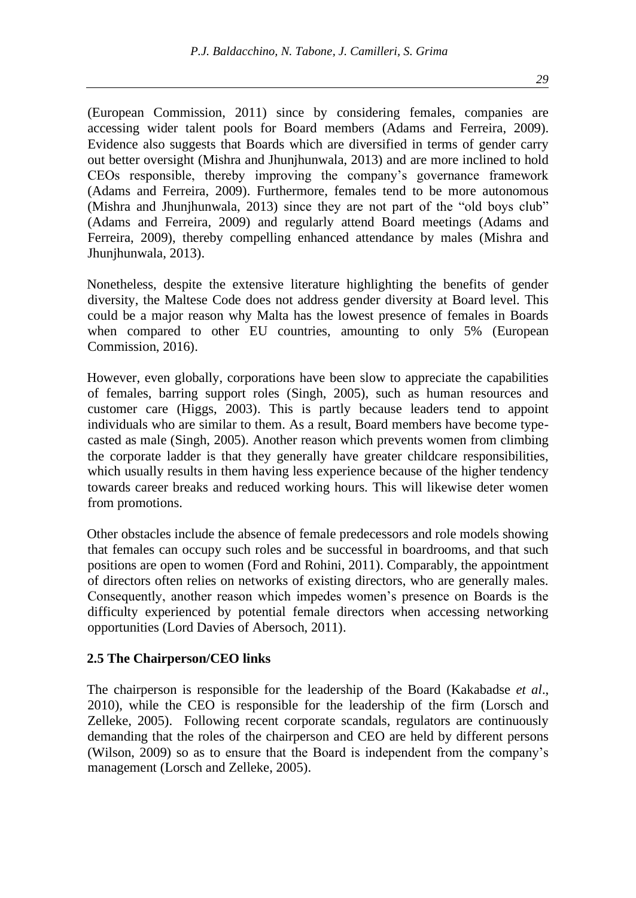(European Commission, 2011) since by considering females, companies are accessing wider talent pools for Board members (Adams and Ferreira, 2009). Evidence also suggests that Boards which are diversified in terms of gender carry out better oversight (Mishra and Jhunjhunwala, 2013) and are more inclined to hold CEOs responsible, thereby improving the company's governance framework (Adams and Ferreira, 2009). Furthermore, females tend to be more autonomous (Mishra and Jhunjhunwala, 2013) since they are not part of the "old boys club" (Adams and Ferreira, 2009) and regularly attend Board meetings (Adams and Ferreira, 2009), thereby compelling enhanced attendance by males (Mishra and Jhunjhunwala, 2013).

Nonetheless, despite the extensive literature highlighting the benefits of gender diversity, the Maltese Code does not address gender diversity at Board level. This could be a major reason why Malta has the lowest presence of females in Boards when compared to other EU countries, amounting to only 5% (European Commission, 2016).

However, even globally, corporations have been slow to appreciate the capabilities of females, barring support roles (Singh, 2005), such as human resources and customer care (Higgs, 2003). This is partly because leaders tend to appoint individuals who are similar to them. As a result, Board members have become typecasted as male (Singh, 2005). Another reason which prevents women from climbing the corporate ladder is that they generally have greater childcare responsibilities, which usually results in them having less experience because of the higher tendency towards career breaks and reduced working hours. This will likewise deter women from promotions.

Other obstacles include the absence of female predecessors and role models showing that females can occupy such roles and be successful in boardrooms, and that such positions are open to women (Ford and Rohini, 2011). Comparably, the appointment of directors often relies on networks of existing directors, who are generally males. Consequently, another reason which impedes women's presence on Boards is the difficulty experienced by potential female directors when accessing networking opportunities (Lord Davies of Abersoch, 2011).

#### **2.5 The Chairperson/CEO links**

The chairperson is responsible for the leadership of the Board (Kakabadse *et al*., 2010), while the CEO is responsible for the leadership of the firm (Lorsch and Zelleke, 2005). Following recent corporate scandals, regulators are continuously demanding that the roles of the chairperson and CEO are held by different persons (Wilson, 2009) so as to ensure that the Board is independent from the company's management (Lorsch and Zelleke, 2005).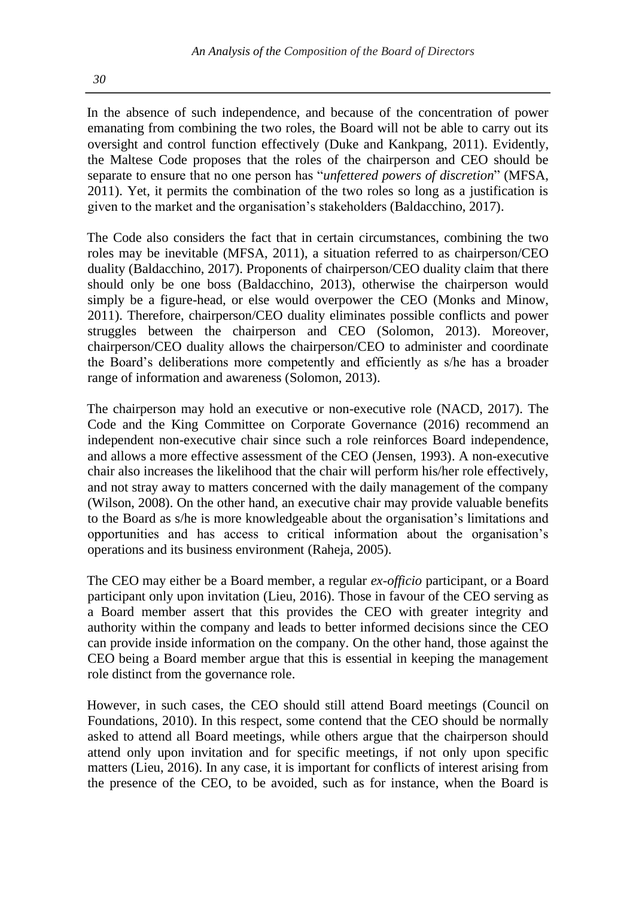In the absence of such independence, and because of the concentration of power emanating from combining the two roles, the Board will not be able to carry out its oversight and control function effectively (Duke and Kankpang, 2011). Evidently, the Maltese Code proposes that the roles of the chairperson and CEO should be separate to ensure that no one person has "*unfettered powers of discretion*" (MFSA, 2011). Yet, it permits the combination of the two roles so long as a justification is given to the market and the organisation's stakeholders (Baldacchino, 2017).

The Code also considers the fact that in certain circumstances, combining the two roles may be inevitable (MFSA, 2011), a situation referred to as chairperson/CEO duality (Baldacchino, 2017). Proponents of chairperson/CEO duality claim that there should only be one boss (Baldacchino, 2013), otherwise the chairperson would simply be a figure-head, or else would overpower the CEO (Monks and Minow, 2011). Therefore, chairperson/CEO duality eliminates possible conflicts and power struggles between the chairperson and CEO (Solomon, 2013). Moreover, chairperson/CEO duality allows the chairperson/CEO to administer and coordinate the Board's deliberations more competently and efficiently as s/he has a broader range of information and awareness (Solomon, 2013).

The chairperson may hold an executive or non-executive role (NACD, 2017). The Code and the King Committee on Corporate Governance (2016) recommend an independent non-executive chair since such a role reinforces Board independence, and allows a more effective assessment of the CEO (Jensen, 1993). A non-executive chair also increases the likelihood that the chair will perform his/her role effectively, and not stray away to matters concerned with the daily management of the company (Wilson, 2008). On the other hand, an executive chair may provide valuable benefits to the Board as s/he is more knowledgeable about the organisation's limitations and opportunities and has access to critical information about the organisation's operations and its business environment (Raheja, 2005).

The CEO may either be a Board member, a regular *ex-officio* participant, or a Board participant only upon invitation (Lieu, 2016). Those in favour of the CEO serving as a Board member assert that this provides the CEO with greater integrity and authority within the company and leads to better informed decisions since the CEO can provide inside information on the company. On the other hand, those against the CEO being a Board member argue that this is essential in keeping the management role distinct from the governance role.

However, in such cases, the CEO should still attend Board meetings (Council on Foundations, 2010). In this respect, some contend that the CEO should be normally asked to attend all Board meetings, while others argue that the chairperson should attend only upon invitation and for specific meetings, if not only upon specific matters (Lieu, 2016). In any case, it is important for conflicts of interest arising from the presence of the CEO, to be avoided, such as for instance, when the Board is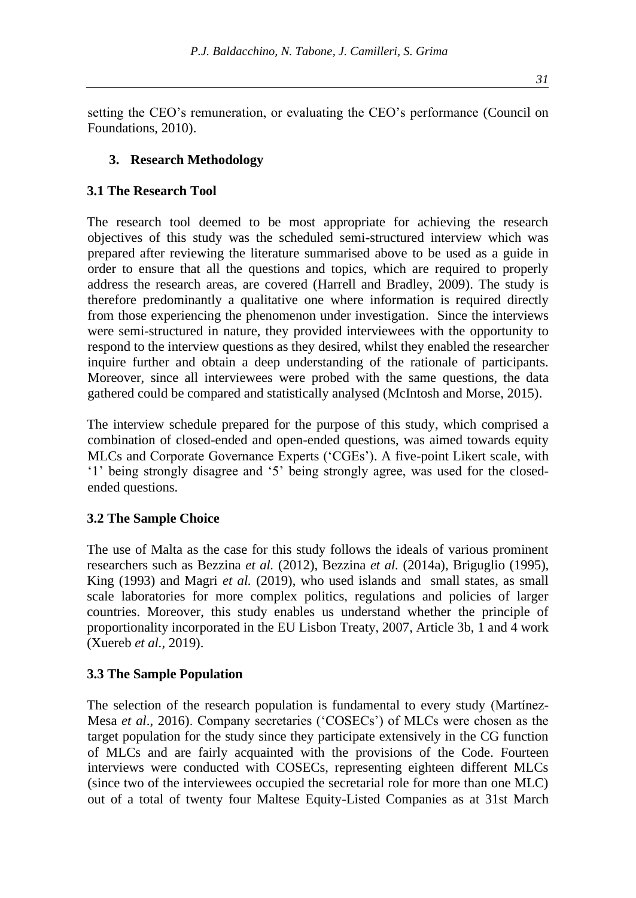setting the CEO's remuneration, or evaluating the CEO's performance (Council on Foundations, 2010).

# **3. Research Methodology**

## **3.1 The Research Tool**

The research tool deemed to be most appropriate for achieving the research objectives of this study was the scheduled semi-structured interview which was prepared after reviewing the literature summarised above to be used as a guide in order to ensure that all the questions and topics, which are required to properly address the research areas, are covered (Harrell and Bradley, 2009). The study is therefore predominantly a qualitative one where information is required directly from those experiencing the phenomenon under investigation. Since the interviews were semi-structured in nature, they provided interviewees with the opportunity to respond to the interview questions as they desired, whilst they enabled the researcher inquire further and obtain a deep understanding of the rationale of participants. Moreover, since all interviewees were probed with the same questions, the data gathered could be compared and statistically analysed (McIntosh and Morse, 2015).

The interview schedule prepared for the purpose of this study, which comprised a combination of closed-ended and open-ended questions, was aimed towards equity MLCs and Corporate Governance Experts ('CGEs'). A five-point Likert scale, with '1' being strongly disagree and '5' being strongly agree, was used for the closedended questions.

# **3.2 The Sample Choice**

The use of Malta as the case for this study follows the ideals of various prominent researchers such as Bezzina *et al.* (2012), Bezzina *et al.* (2014a), Briguglio (1995), King (1993) and Magri *et al.* (2019), who used islands and small states, as small scale laboratories for more complex politics, regulations and policies of larger countries. Moreover, this study enables us understand whether the principle of proportionality incorporated in the EU Lisbon Treaty, 2007, Article 3b, 1 and 4 work (Xuereb *et al.,* 2019).

#### **3.3 The Sample Population**

The selection of the research population is fundamental to every study (Martínez-Mesa *et al*., 2016). Company secretaries ('COSECs') of MLCs were chosen as the target population for the study since they participate extensively in the CG function of MLCs and are fairly acquainted with the provisions of the Code. Fourteen interviews were conducted with COSECs, representing eighteen different MLCs (since two of the interviewees occupied the secretarial role for more than one MLC) out of a total of twenty four Maltese Equity-Listed Companies as at 31st March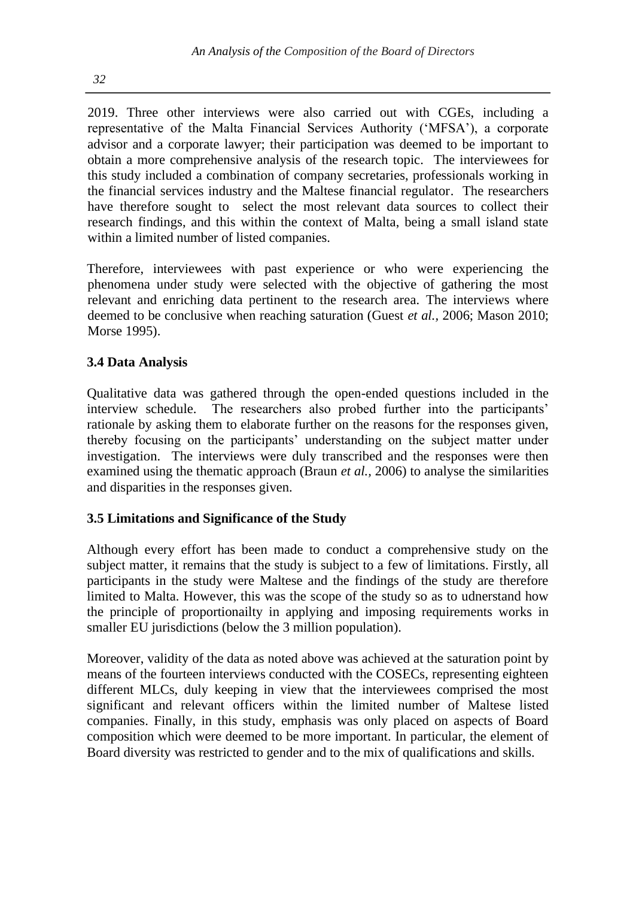2019. Three other interviews were also carried out with CGEs, including a representative of the Malta Financial Services Authority ('MFSA'), a corporate advisor and a corporate lawyer; their participation was deemed to be important to obtain a more comprehensive analysis of the research topic. The interviewees for this study included a combination of company secretaries, professionals working in the financial services industry and the Maltese financial regulator. The researchers have therefore sought to select the most relevant data sources to collect their research findings, and this within the context of Malta, being a small island state within a limited number of listed companies.

Therefore, interviewees with past experience or who were experiencing the phenomena under study were selected with the objective of gathering the most relevant and enriching data pertinent to the research area. The interviews where deemed to be conclusive when reaching saturation (Guest *et al.,* 2006; Mason 2010; Morse 1995).

# **3.4 Data Analysis**

Qualitative data was gathered through the open-ended questions included in the interview schedule. The researchers also probed further into the participants' rationale by asking them to elaborate further on the reasons for the responses given, thereby focusing on the participants' understanding on the subject matter under investigation. The interviews were duly transcribed and the responses were then examined using the thematic approach (Braun *et al.,* 2006) to analyse the similarities and disparities in the responses given.

# **3.5 Limitations and Significance of the Study**

Although every effort has been made to conduct a comprehensive study on the subject matter, it remains that the study is subject to a few of limitations. Firstly, all participants in the study were Maltese and the findings of the study are therefore limited to Malta. However, this was the scope of the study so as to udnerstand how the principle of proportionailty in applying and imposing requirements works in smaller EU jurisdictions (below the 3 million population).

Moreover, validity of the data as noted above was achieved at the saturation point by means of the fourteen interviews conducted with the COSECs, representing eighteen different MLCs, duly keeping in view that the interviewees comprised the most significant and relevant officers within the limited number of Maltese listed companies. Finally, in this study, emphasis was only placed on aspects of Board composition which were deemed to be more important. In particular, the element of Board diversity was restricted to gender and to the mix of qualifications and skills.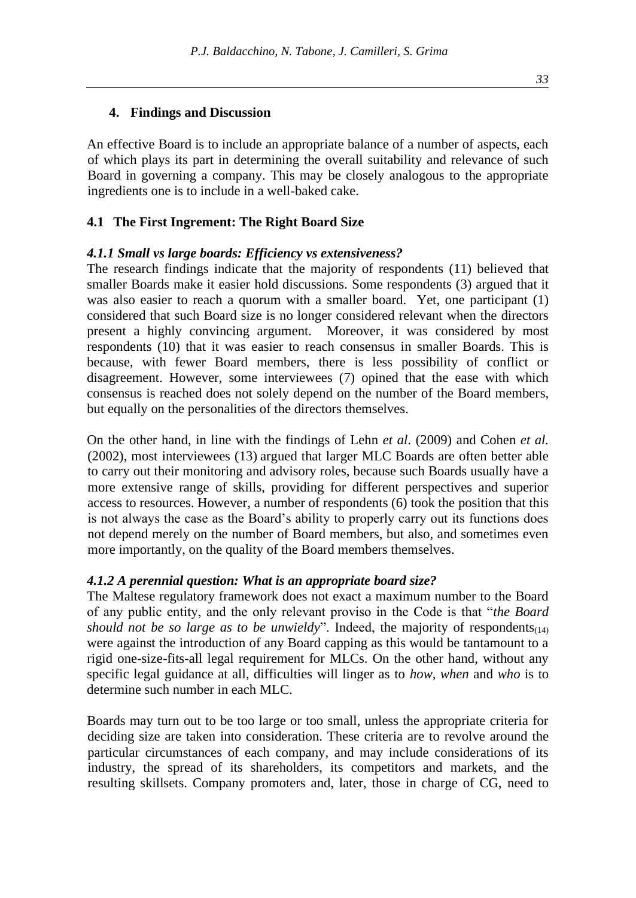### **4. Findings and Discussion**

An effective Board is to include an appropriate balance of a number of aspects, each of which plays its part in determining the overall suitability and relevance of such Board in governing a company. This may be closely analogous to the appropriate ingredients one is to include in a well-baked cake.

## **4.1 The First Ingrement: The Right Board Size**

#### *4.1.1 Small vs large boards: Efficiency vs extensiveness?*

The research findings indicate that the majority of respondents (11) believed that smaller Boards make it easier hold discussions. Some respondents (3) argued that it was also easier to reach a quorum with a smaller board. Yet, one participant (1) considered that such Board size is no longer considered relevant when the directors present a highly convincing argument. Moreover, it was considered by most respondents (10) that it was easier to reach consensus in smaller Boards. This is because, with fewer Board members, there is less possibility of conflict or disagreement. However, some interviewees (7) opined that the ease with which consensus is reached does not solely depend on the number of the Board members, but equally on the personalities of the directors themselves.

On the other hand, in line with the findings of Lehn *et al*. (2009) and Cohen *et al.* (2002), most interviewees (13) argued that larger MLC Boards are often better able to carry out their monitoring and advisory roles, because such Boards usually have a more extensive range of skills, providing for different perspectives and superior access to resources. However, a number of respondents (6) took the position that this is not always the case as the Board's ability to properly carry out its functions does not depend merely on the number of Board members, but also, and sometimes even more importantly, on the quality of the Board members themselves.

#### *4.1.2 A perennial question: What is an appropriate board size?*

The Maltese regulatory framework does not exact a maximum number to the Board of any public entity, and the only relevant proviso in the Code is that "*the Board should not be so large as to be unwieldy*". Indeed, the majority of respondents $(14)$ were against the introduction of any Board capping as this would be tantamount to a rigid one-size-fits-all legal requirement for MLCs. On the other hand, without any specific legal guidance at all, difficulties will linger as to *how, when* and *who* is to determine such number in each MLC.

Boards may turn out to be too large or too small, unless the appropriate criteria for deciding size are taken into consideration. These criteria are to revolve around the particular circumstances of each company, and may include considerations of its industry, the spread of its shareholders, its competitors and markets, and the resulting skillsets. Company promoters and, later, those in charge of CG, need to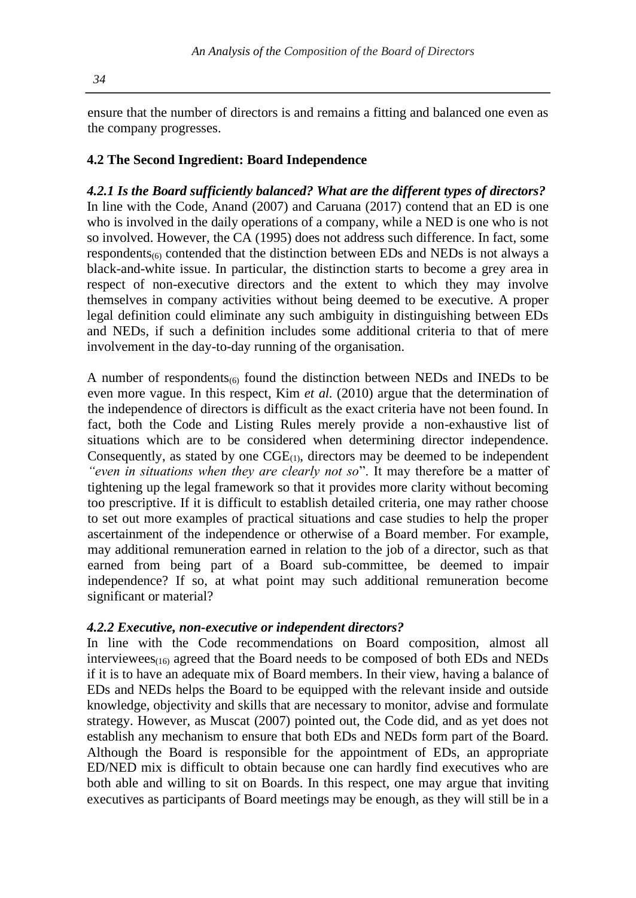ensure that the number of directors is and remains a fitting and balanced one even as the company progresses.

#### **4.2 The Second Ingredient: Board Independence**

*4.2.1 Is the Board sufficiently balanced? What are the different types of directors?* In line with the Code, Anand (2007) and Caruana (2017) contend that an ED is one who is involved in the daily operations of a company, while a NED is one who is not so involved. However, the CA (1995) does not address such difference. In fact, some respondents $\epsilon_{60}$  contended that the distinction between EDs and NEDs is not always a black-and-white issue. In particular, the distinction starts to become a grey area in respect of non-executive directors and the extent to which they may involve themselves in company activities without being deemed to be executive. A proper legal definition could eliminate any such ambiguity in distinguishing between EDs and NEDs, if such a definition includes some additional criteria to that of mere involvement in the day-to-day running of the organisation.

A number of respondents $_{(6)}$  found the distinction between NEDs and INEDs to be even more vague. In this respect, Kim *et al.* (2010) argue that the determination of the independence of directors is difficult as the exact criteria have not been found. In fact, both the Code and Listing Rules merely provide a non-exhaustive list of situations which are to be considered when determining director independence. Consequently, as stated by one  $CGE_{(1)}$ , directors may be deemed to be independent *"even in situations when they are clearly not so*". It may therefore be a matter of tightening up the legal framework so that it provides more clarity without becoming too prescriptive. If it is difficult to establish detailed criteria, one may rather choose to set out more examples of practical situations and case studies to help the proper ascertainment of the independence or otherwise of a Board member. For example, may additional remuneration earned in relation to the job of a director, such as that earned from being part of a Board sub-committee, be deemed to impair independence? If so, at what point may such additional remuneration become significant or material?

#### *4.2.2 Executive, non-executive or independent directors?*

In line with the Code recommendations on Board composition, almost all interviewees $_{(16)}$  agreed that the Board needs to be composed of both EDs and NEDs if it is to have an adequate mix of Board members. In their view, having a balance of EDs and NEDs helps the Board to be equipped with the relevant inside and outside knowledge, objectivity and skills that are necessary to monitor, advise and formulate strategy. However, as Muscat (2007) pointed out, the Code did, and as yet does not establish any mechanism to ensure that both EDs and NEDs form part of the Board. Although the Board is responsible for the appointment of EDs, an appropriate ED/NED mix is difficult to obtain because one can hardly find executives who are both able and willing to sit on Boards. In this respect, one may argue that inviting executives as participants of Board meetings may be enough, as they will still be in a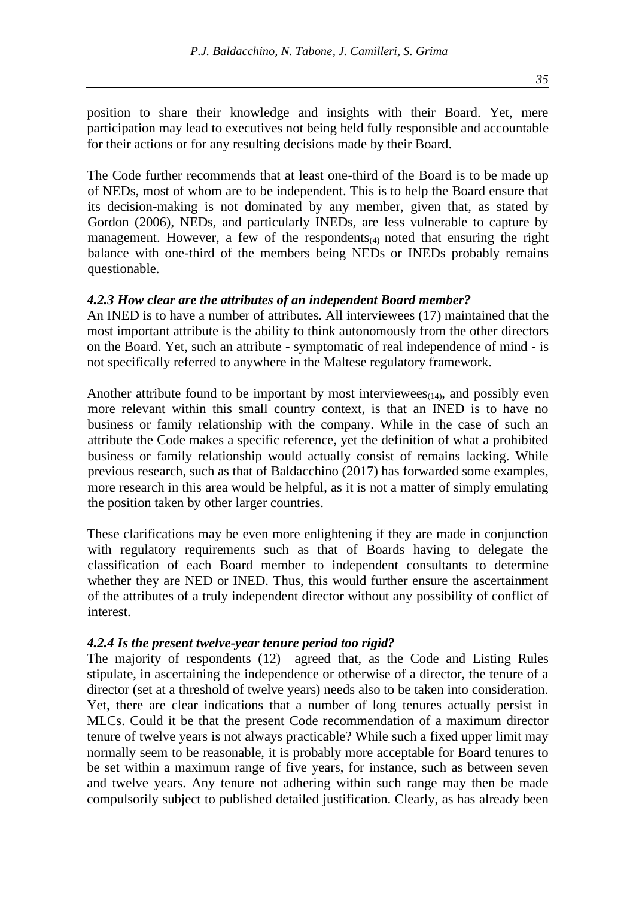position to share their knowledge and insights with their Board. Yet, mere participation may lead to executives not being held fully responsible and accountable for their actions or for any resulting decisions made by their Board.

The Code further recommends that at least one-third of the Board is to be made up of NEDs, most of whom are to be independent. This is to help the Board ensure that its decision-making is not dominated by any member, given that, as stated by Gordon (2006), NEDs, and particularly INEDs, are less vulnerable to capture by management. However, a few of the respondents $(4)$  noted that ensuring the right balance with one-third of the members being NEDs or INEDs probably remains questionable.

#### *4.2.3 How clear are the attributes of an independent Board member?*

An INED is to have a number of attributes. All interviewees (17) maintained that the most important attribute is the ability to think autonomously from the other directors on the Board. Yet, such an attribute - symptomatic of real independence of mind - is not specifically referred to anywhere in the Maltese regulatory framework.

Another attribute found to be important by most interviewees $_{(14)}$ , and possibly even more relevant within this small country context, is that an INED is to have no business or family relationship with the company. While in the case of such an attribute the Code makes a specific reference, yet the definition of what a prohibited business or family relationship would actually consist of remains lacking. While previous research, such as that of Baldacchino (2017) has forwarded some examples, more research in this area would be helpful, as it is not a matter of simply emulating the position taken by other larger countries.

These clarifications may be even more enlightening if they are made in conjunction with regulatory requirements such as that of Boards having to delegate the classification of each Board member to independent consultants to determine whether they are NED or INED. Thus, this would further ensure the ascertainment of the attributes of a truly independent director without any possibility of conflict of interest.

#### *4.2.4 Is the present twelve-year tenure period too rigid?*

The majority of respondents (12) agreed that, as the Code and Listing Rules stipulate, in ascertaining the independence or otherwise of a director, the tenure of a director (set at a threshold of twelve years) needs also to be taken into consideration. Yet, there are clear indications that a number of long tenures actually persist in MLCs. Could it be that the present Code recommendation of a maximum director tenure of twelve years is not always practicable? While such a fixed upper limit may normally seem to be reasonable, it is probably more acceptable for Board tenures to be set within a maximum range of five years, for instance, such as between seven and twelve years. Any tenure not adhering within such range may then be made compulsorily subject to published detailed justification. Clearly, as has already been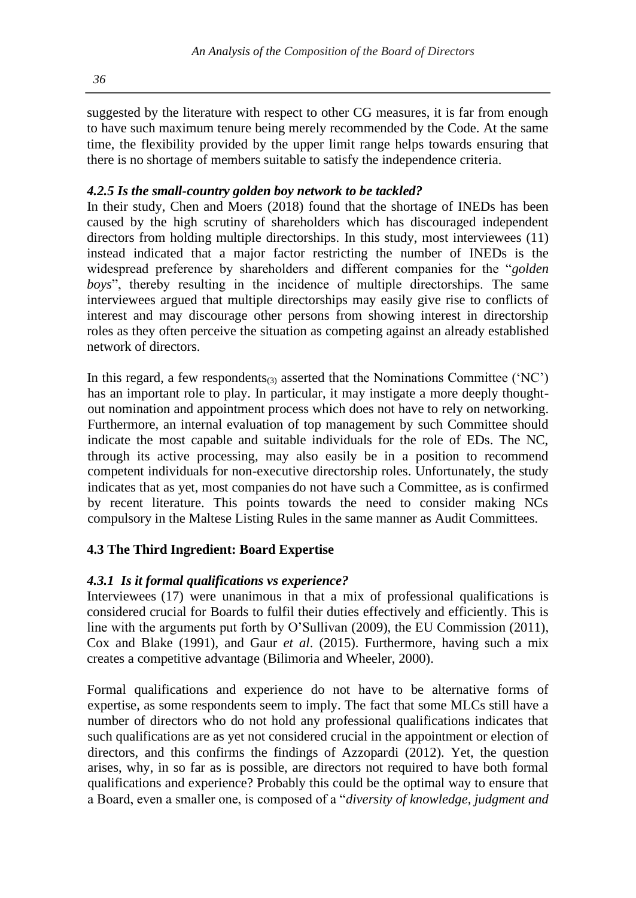suggested by the literature with respect to other CG measures, it is far from enough to have such maximum tenure being merely recommended by the Code. At the same time, the flexibility provided by the upper limit range helps towards ensuring that there is no shortage of members suitable to satisfy the independence criteria.

# *4.2.5 Is the small-country golden boy network to be tackled?*

In their study, Chen and Moers (2018) found that the shortage of INEDs has been caused by the high scrutiny of shareholders which has discouraged independent directors from holding multiple directorships. In this study, most interviewees (11) instead indicated that a major factor restricting the number of INEDs is the widespread preference by shareholders and different companies for the "*golden boys*", thereby resulting in the incidence of multiple directorships. The same interviewees argued that multiple directorships may easily give rise to conflicts of interest and may discourage other persons from showing interest in directorship roles as they often perceive the situation as competing against an already established network of directors.

In this regard, a few respondents $_{(3)}$  asserted that the Nominations Committee ('NC') has an important role to play. In particular, it may instigate a more deeply thoughtout nomination and appointment process which does not have to rely on networking. Furthermore, an internal evaluation of top management by such Committee should indicate the most capable and suitable individuals for the role of EDs. The NC, through its active processing, may also easily be in a position to recommend competent individuals for non-executive directorship roles. Unfortunately, the study indicates that as yet, most companies do not have such a Committee, as is confirmed by recent literature. This points towards the need to consider making NCs compulsory in the Maltese Listing Rules in the same manner as Audit Committees.

# **4.3 The Third Ingredient: Board Expertise**

# *4.3.1 Is it formal qualifications vs experience?*

Interviewees (17) were unanimous in that a mix of professional qualifications is considered crucial for Boards to fulfil their duties effectively and efficiently. This is line with the arguments put forth by O'Sullivan (2009), the EU Commission (2011), Cox and Blake (1991), and Gaur *et al*. (2015). Furthermore, having such a mix creates a competitive advantage (Bilimoria and Wheeler, 2000).

Formal qualifications and experience do not have to be alternative forms of expertise, as some respondents seem to imply. The fact that some MLCs still have a number of directors who do not hold any professional qualifications indicates that such qualifications are as yet not considered crucial in the appointment or election of directors, and this confirms the findings of Azzopardi (2012). Yet, the question arises, why, in so far as is possible, are directors not required to have both formal qualifications and experience? Probably this could be the optimal way to ensure that a Board, even a smaller one, is composed of a "*diversity of knowledge, judgment and*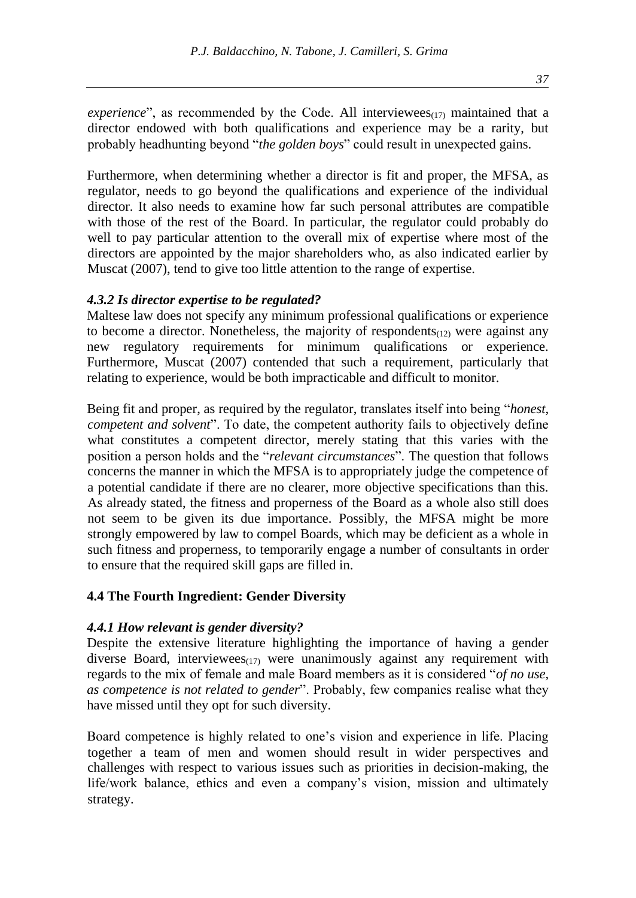*experience*", as recommended by the Code. All interviewees $(17)$  maintained that a director endowed with both qualifications and experience may be a rarity, but probably headhunting beyond "*the golden boys*" could result in unexpected gains.

Furthermore, when determining whether a director is fit and proper, the MFSA, as regulator, needs to go beyond the qualifications and experience of the individual director. It also needs to examine how far such personal attributes are compatible with those of the rest of the Board. In particular, the regulator could probably do well to pay particular attention to the overall mix of expertise where most of the directors are appointed by the major shareholders who, as also indicated earlier by Muscat (2007), tend to give too little attention to the range of expertise.

#### *4.3.2 Is director expertise to be regulated?*

Maltese law does not specify any minimum professional qualifications or experience to become a director. Nonetheless, the majority of respondents $(12)$  were against any new regulatory requirements for minimum qualifications or experience. Furthermore, Muscat (2007) contended that such a requirement, particularly that relating to experience, would be both impracticable and difficult to monitor.

Being fit and proper, as required by the regulator, translates itself into being "*honest, competent and solvent*". To date, the competent authority fails to objectively define what constitutes a competent director, merely stating that this varies with the position a person holds and the "*relevant circumstances*". The question that follows concerns the manner in which the MFSA is to appropriately judge the competence of a potential candidate if there are no clearer, more objective specifications than this. As already stated, the fitness and properness of the Board as a whole also still does not seem to be given its due importance. Possibly, the MFSA might be more strongly empowered by law to compel Boards, which may be deficient as a whole in such fitness and properness, to temporarily engage a number of consultants in order to ensure that the required skill gaps are filled in.

# **4.4 The Fourth Ingredient: Gender Diversity**

#### *4.4.1 How relevant is gender diversity?*

Despite the extensive literature highlighting the importance of having a gender diverse Board, interviewees $(17)$  were unanimously against any requirement with regards to the mix of female and male Board members as it is considered "*of no use, as competence is not related to gender*". Probably, few companies realise what they have missed until they opt for such diversity.

Board competence is highly related to one's vision and experience in life. Placing together a team of men and women should result in wider perspectives and challenges with respect to various issues such as priorities in decision-making, the life/work balance, ethics and even a company's vision, mission and ultimately strategy.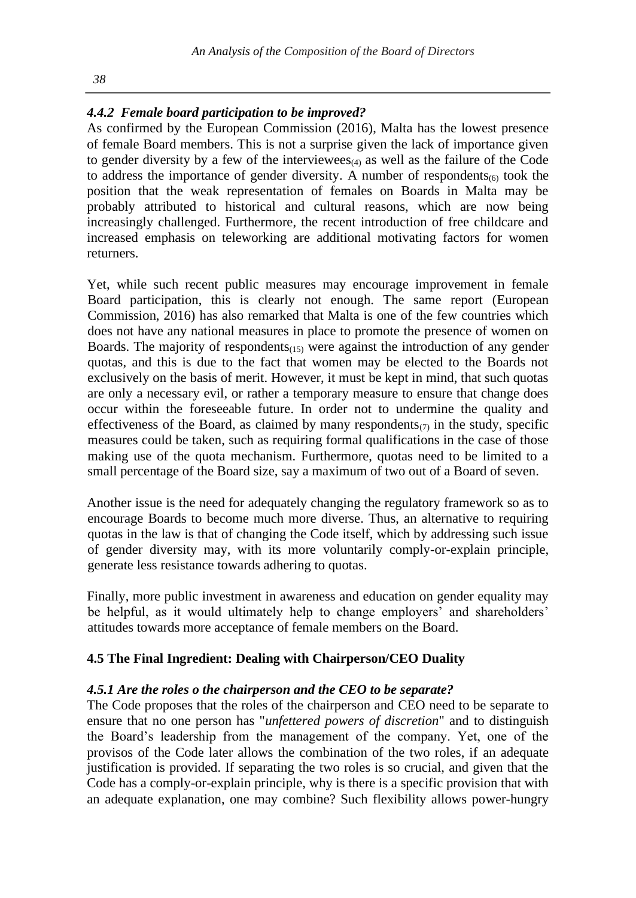# *4.4.2 Female board participation to be improved?*

As confirmed by the European Commission (2016), Malta has the lowest presence of female Board members. This is not a surprise given the lack of importance given to gender diversity by a few of the interviewees $\alpha_4$  as well as the failure of the Code to address the importance of gender diversity. A number of respondents $(6)$  took the position that the weak representation of females on Boards in Malta may be probably attributed to historical and cultural reasons, which are now being increasingly challenged. Furthermore, the recent introduction of free childcare and increased emphasis on teleworking are additional motivating factors for women returners.

Yet, while such recent public measures may encourage improvement in female Board participation, this is clearly not enough. The same report (European Commission, 2016) has also remarked that Malta is one of the few countries which does not have any national measures in place to promote the presence of women on Boards. The majority of respondents $_{(15)}$  were against the introduction of any gender quotas, and this is due to the fact that women may be elected to the Boards not exclusively on the basis of merit. However, it must be kept in mind, that such quotas are only a necessary evil, or rather a temporary measure to ensure that change does occur within the foreseeable future. In order not to undermine the quality and effectiveness of the Board, as claimed by many respondents $\sigma$  in the study, specific measures could be taken, such as requiring formal qualifications in the case of those making use of the quota mechanism. Furthermore, quotas need to be limited to a small percentage of the Board size, say a maximum of two out of a Board of seven.

Another issue is the need for adequately changing the regulatory framework so as to encourage Boards to become much more diverse. Thus, an alternative to requiring quotas in the law is that of changing the Code itself, which by addressing such issue of gender diversity may, with its more voluntarily comply-or-explain principle, generate less resistance towards adhering to quotas.

Finally, more public investment in awareness and education on gender equality may be helpful, as it would ultimately help to change employers' and shareholders' attitudes towards more acceptance of female members on the Board.

# **4.5 The Final Ingredient: Dealing with Chairperson/CEO Duality**

#### *4.5.1 Are the roles o the chairperson and the CEO to be separate?*

The Code proposes that the roles of the chairperson and CEO need to be separate to ensure that no one person has "*unfettered powers of discretion*" and to distinguish the Board's leadership from the management of the company. Yet, one of the provisos of the Code later allows the combination of the two roles, if an adequate justification is provided. If separating the two roles is so crucial, and given that the Code has a comply-or-explain principle, why is there is a specific provision that with an adequate explanation, one may combine? Such flexibility allows power-hungry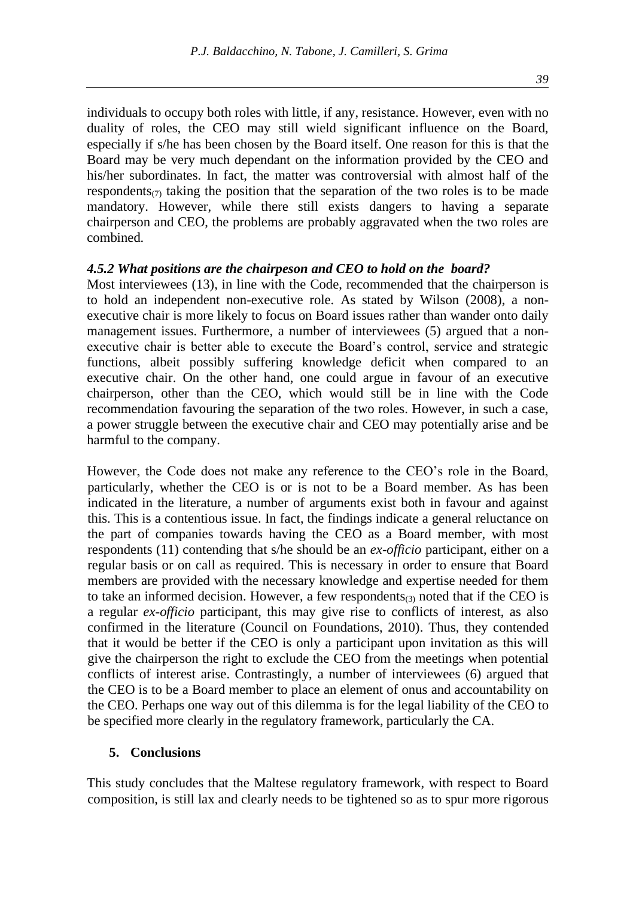individuals to occupy both roles with little, if any, resistance. However, even with no duality of roles, the CEO may still wield significant influence on the Board, especially if s/he has been chosen by the Board itself. One reason for this is that the Board may be very much dependant on the information provided by the CEO and his/her subordinates. In fact, the matter was controversial with almost half of the respondents<sub>(7)</sub> taking the position that the separation of the two roles is to be made mandatory. However, while there still exists dangers to having a separate chairperson and CEO, the problems are probably aggravated when the two roles are combined.

#### *4.5.2 What positions are the chairpeson and CEO to hold on the board?*

Most interviewees (13), in line with the Code, recommended that the chairperson is to hold an independent non-executive role. As stated by Wilson (2008), a nonexecutive chair is more likely to focus on Board issues rather than wander onto daily management issues. Furthermore, a number of interviewees (5) argued that a nonexecutive chair is better able to execute the Board's control, service and strategic functions, albeit possibly suffering knowledge deficit when compared to an executive chair. On the other hand, one could argue in favour of an executive chairperson, other than the CEO, which would still be in line with the Code recommendation favouring the separation of the two roles. However, in such a case, a power struggle between the executive chair and CEO may potentially arise and be harmful to the company.

However, the Code does not make any reference to the CEO's role in the Board, particularly, whether the CEO is or is not to be a Board member. As has been indicated in the literature, a number of arguments exist both in favour and against this. This is a contentious issue. In fact, the findings indicate a general reluctance on the part of companies towards having the CEO as a Board member, with most respondents (11) contending that s/he should be an *ex-officio* participant, either on a regular basis or on call as required. This is necessary in order to ensure that Board members are provided with the necessary knowledge and expertise needed for them to take an informed decision. However, a few respondents $(3)$  noted that if the CEO is a regular *ex-officio* participant, this may give rise to conflicts of interest, as also confirmed in the literature (Council on Foundations, 2010). Thus, they contended that it would be better if the CEO is only a participant upon invitation as this will give the chairperson the right to exclude the CEO from the meetings when potential conflicts of interest arise. Contrastingly, a number of interviewees (6) argued that the CEO is to be a Board member to place an element of onus and accountability on the CEO. Perhaps one way out of this dilemma is for the legal liability of the CEO to be specified more clearly in the regulatory framework, particularly the CA.

#### **5. Conclusions**

This study concludes that the Maltese regulatory framework, with respect to Board composition, is still lax and clearly needs to be tightened so as to spur more rigorous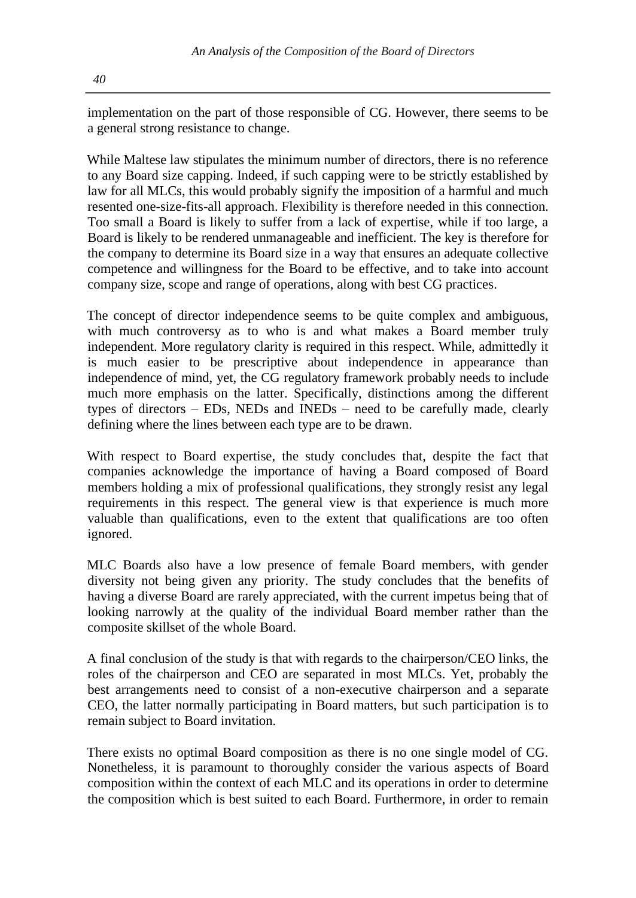implementation on the part of those responsible of CG. However, there seems to be a general strong resistance to change.

While Maltese law stipulates the minimum number of directors, there is no reference to any Board size capping. Indeed, if such capping were to be strictly established by law for all MLCs, this would probably signify the imposition of a harmful and much resented one-size-fits-all approach. Flexibility is therefore needed in this connection. Too small a Board is likely to suffer from a lack of expertise, while if too large, a Board is likely to be rendered unmanageable and inefficient. The key is therefore for the company to determine its Board size in a way that ensures an adequate collective competence and willingness for the Board to be effective, and to take into account company size, scope and range of operations, along with best CG practices.

The concept of director independence seems to be quite complex and ambiguous, with much controversy as to who is and what makes a Board member truly independent. More regulatory clarity is required in this respect. While, admittedly it is much easier to be prescriptive about independence in appearance than independence of mind, yet, the CG regulatory framework probably needs to include much more emphasis on the latter. Specifically, distinctions among the different types of directors – EDs, NEDs and INEDs – need to be carefully made, clearly defining where the lines between each type are to be drawn.

With respect to Board expertise, the study concludes that, despite the fact that companies acknowledge the importance of having a Board composed of Board members holding a mix of professional qualifications, they strongly resist any legal requirements in this respect. The general view is that experience is much more valuable than qualifications, even to the extent that qualifications are too often ignored.

MLC Boards also have a low presence of female Board members, with gender diversity not being given any priority. The study concludes that the benefits of having a diverse Board are rarely appreciated, with the current impetus being that of looking narrowly at the quality of the individual Board member rather than the composite skillset of the whole Board.

A final conclusion of the study is that with regards to the chairperson/CEO links, the roles of the chairperson and CEO are separated in most MLCs. Yet, probably the best arrangements need to consist of a non-executive chairperson and a separate CEO, the latter normally participating in Board matters, but such participation is to remain subject to Board invitation.

There exists no optimal Board composition as there is no one single model of CG. Nonetheless, it is paramount to thoroughly consider the various aspects of Board composition within the context of each MLC and its operations in order to determine the composition which is best suited to each Board. Furthermore, in order to remain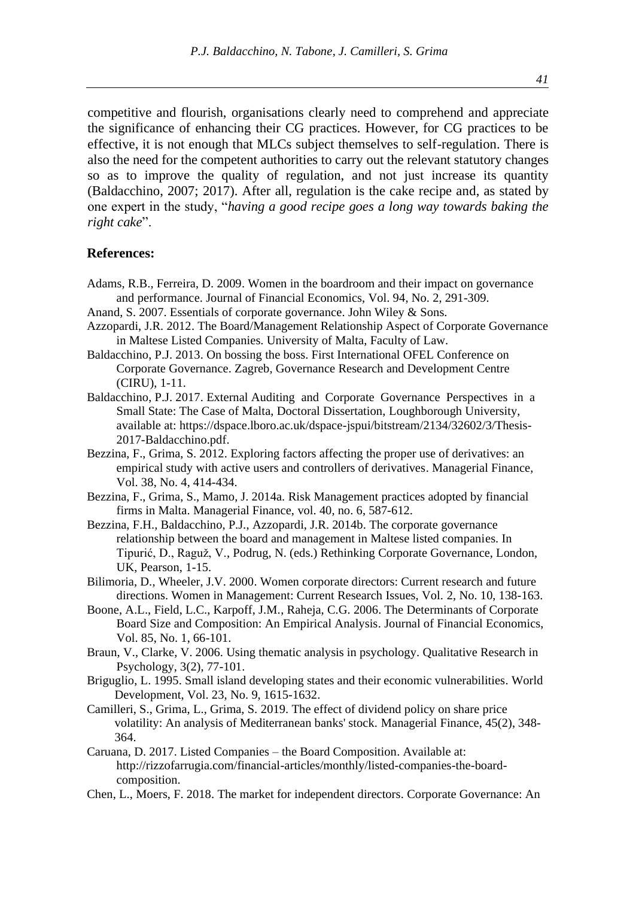competitive and flourish, organisations clearly need to comprehend and appreciate the significance of enhancing their CG practices. However, for CG practices to be effective, it is not enough that MLCs subject themselves to self-regulation. There is also the need for the competent authorities to carry out the relevant statutory changes so as to improve the quality of regulation, and not just increase its quantity (Baldacchino, 2007; 2017). After all, regulation is the cake recipe and, as stated by one expert in the study, "*having a good recipe goes a long way towards baking the right cake*".

#### **References:**

- Adams, R.B., Ferreira, D. 2009. Women in the boardroom and their impact on governance and performance. Journal of Financial Economics, Vol. 94, No. 2, 291-309.
- Anand, S. 2007. Essentials of corporate governance. John Wiley & Sons.
- Azzopardi, J.R. 2012. The Board/Management Relationship Aspect of Corporate Governance in Maltese Listed Companies. University of Malta, Faculty of Law.
- Baldacchino, P.J. 2013. On bossing the boss. First International OFEL Conference on Corporate Governance. Zagreb, Governance Research and Development Centre (CIRU), 1-11.
- Baldacchino, P.J. 2017. External Auditing and Corporate Governance Perspectives in a Small State: The Case of Malta, Doctoral Dissertation, Loughborough University, available at: https://dspace.lboro.ac.uk/dspace-jspui/bitstream/2134/32602/3/Thesis-2017-Baldacchino.pdf.
- Bezzina, F., Grima, S. 2012. Exploring factors affecting the proper use of derivatives: an empirical study with active users and controllers of derivatives. Managerial Finance, Vol. 38, No. 4, 414-434.
- Bezzina, F., Grima, S., Mamo, J. 2014a. Risk Management practices adopted by financial firms in Malta. Managerial Finance, vol. 40, no. 6, 587-612.
- Bezzina, F.H., Baldacchino, P.J., Azzopardi, J.R. 2014b. The corporate governance relationship between the board and management in Maltese listed companies. In Tipurić, D., Raguž, V., Podrug, N. (eds.) Rethinking Corporate Governance, London, UK, Pearson, 1-15.
- Bilimoria, D., Wheeler, J.V. 2000. Women corporate directors: Current research and future directions. Women in Management: Current Research Issues, Vol. 2, No. 10, 138-163.
- Boone, A.L., Field, L.C., Karpoff, J.M., Raheja, C.G. 2006. The Determinants of Corporate Board Size and Composition: An Empirical Analysis. Journal of Financial Economics, Vol. 85, No. 1, 66-101.
- Braun, V., Clarke, V. 2006. Using thematic analysis in psychology. Qualitative Research in Psychology, 3(2), 77-101.
- Briguglio, L. 1995. Small island developing states and their economic vulnerabilities. World Development, Vol. 23, No. 9, 1615-1632.
- Camilleri, S., Grima, L., Grima, S. 2019. The effect of dividend policy on share price volatility: An analysis of Mediterranean banks' stock. Managerial Finance, 45(2), 348- 364.
- Caruana, D. 2017. Listed Companies the Board Composition. Available at: http://rizzofarrugia.com/financial-articles/monthly/listed-companies-the-boardcomposition.
- Chen, L., Moers, F. 2018. The market for independent directors. Corporate Governance: An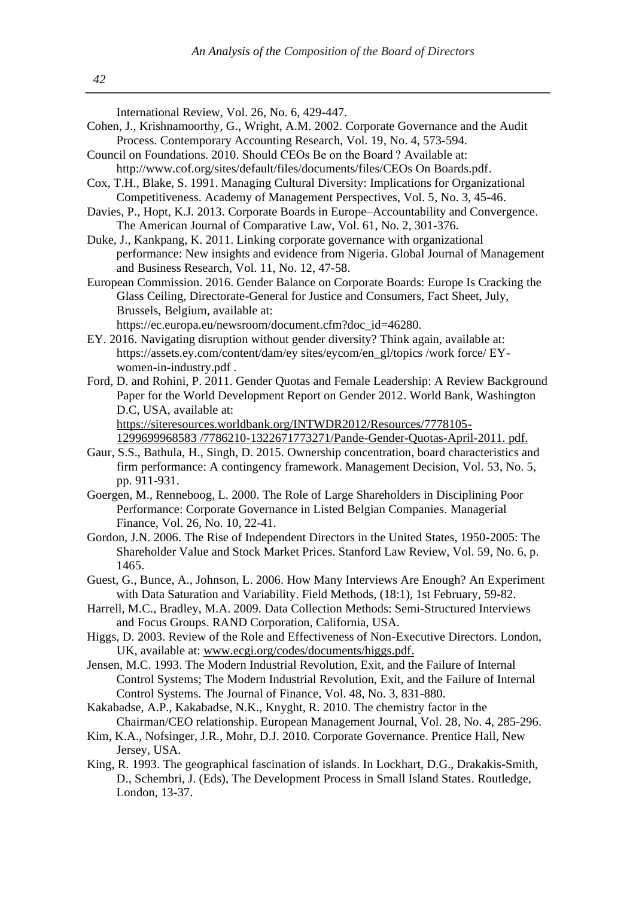| International Review, Vol. 26, No. 6, 429-447.<br>Cohen, J., Krishnamoorthy, G., Wright, A.M. 2002. Corporate Governance and the Audit<br>Process. Contemporary Accounting Research, Vol. 19, No. 4, 573-594.<br>Council on Foundations. 2010. Should CEOs Be on the Board? Available at:<br>http://www.cof.org/sites/default/files/documents/files/CEOs On Boards.pdf.<br>Cox, T.H., Blake, S. 1991. Managing Cultural Diversity: Implications for Organizational<br>Competitiveness. Academy of Management Perspectives, Vol. 5, No. 3, 45-46.<br>Davies, P., Hopt, K.J. 2013. Corporate Boards in Europe-Accountability and Convergence.<br>The American Journal of Comparative Law, Vol. 61, No. 2, 301-376.<br>Duke, J., Kankpang, K. 2011. Linking corporate governance with organizational<br>performance: New insights and evidence from Nigeria. Global Journal of Management<br>and Business Research, Vol. 11, No. 12, 47-58. |
|------------------------------------------------------------------------------------------------------------------------------------------------------------------------------------------------------------------------------------------------------------------------------------------------------------------------------------------------------------------------------------------------------------------------------------------------------------------------------------------------------------------------------------------------------------------------------------------------------------------------------------------------------------------------------------------------------------------------------------------------------------------------------------------------------------------------------------------------------------------------------------------------------------------------------------------|
| European Commission. 2016. Gender Balance on Corporate Boards: Europe Is Cracking the<br>Glass Ceiling, Directorate-General for Justice and Consumers, Fact Sheet, July,<br>Brussels, Belgium, available at:<br>https://ec.europa.eu/newsroom/document.cfm?doc_id=46280.<br>EY. 2016. Navigating disruption without gender diversity? Think again, available at:                                                                                                                                                                                                                                                                                                                                                                                                                                                                                                                                                                         |
| https://assets.ey.com/content/dam/ey sites/eycom/en_gl/topics /work force/ EY-<br>women-in-industry.pdf.<br>Ford, D. and Rohini, P. 2011. Gender Quotas and Female Leadership: A Review Background<br>Paper for the World Development Report on Gender 2012. World Bank, Washington<br>D.C, USA, available at:                                                                                                                                                                                                                                                                                                                                                                                                                                                                                                                                                                                                                           |
| https://siteresources.worldbank.org/INTWDR2012/Resources/7778105-<br>1299699968583 /7786210-1322671773271/Pande-Gender-Quotas-April-2011. pdf.<br>Gaur, S.S., Bathula, H., Singh, D. 2015. Ownership concentration, board characteristics and<br>firm performance: A contingency framework. Management Decision, Vol. 53, No. 5,<br>pp. 911-931.                                                                                                                                                                                                                                                                                                                                                                                                                                                                                                                                                                                         |
| Goergen, M., Renneboog, L. 2000. The Role of Large Shareholders in Disciplining Poor<br>Performance: Corporate Governance in Listed Belgian Companies. Managerial<br>Finance, Vol. 26, No. 10, 22-41.<br>Gordon, J.N. 2006. The Rise of Independent Directors in the United States, 1950-2005: The                                                                                                                                                                                                                                                                                                                                                                                                                                                                                                                                                                                                                                       |
| Shareholder Value and Stock Market Prices. Stanford Law Review, Vol. 59, No. 6, p.<br>1465.<br>Guest, G., Bunce, A., Johnson, L. 2006. How Many Interviews Are Enough? An Experiment<br>with Data Saturation and Variability. Field Methods, (18:1), 1st February, 59-82.                                                                                                                                                                                                                                                                                                                                                                                                                                                                                                                                                                                                                                                                |
| Harrell, M.C., Bradley, M.A. 2009. Data Collection Methods: Semi-Structured Interviews<br>and Focus Groups. RAND Corporation, California, USA.<br>Higgs, D. 2003. Review of the Role and Effectiveness of Non-Executive Directors. London,<br>UK, available at: www.ecgi.org/codes/documents/higgs.pdf.                                                                                                                                                                                                                                                                                                                                                                                                                                                                                                                                                                                                                                  |
| Jensen, M.C. 1993. The Modern Industrial Revolution, Exit, and the Failure of Internal<br>Control Systems; The Modern Industrial Revolution, Exit, and the Failure of Internal<br>Control Systems. The Journal of Finance, Vol. 48, No. 3, 831-880.<br>Kakabadse, A.P., Kakabadse, N.K., Knyght, R. 2010. The chemistry factor in the                                                                                                                                                                                                                                                                                                                                                                                                                                                                                                                                                                                                    |
| Chairman/CEO relationship. European Management Journal, Vol. 28, No. 4, 285-296.<br>Kim, K.A., Nofsinger, J.R., Mohr, D.J. 2010. Corporate Governance. Prentice Hall, New<br>Jersey, USA.<br>King, R. 1993. The geographical fascination of islands. In Lockhart, D.G., Drakakis-Smith,                                                                                                                                                                                                                                                                                                                                                                                                                                                                                                                                                                                                                                                  |
| D., Schembri, J. (Eds), The Development Process in Small Island States. Routledge,<br>London, 13-37.                                                                                                                                                                                                                                                                                                                                                                                                                                                                                                                                                                                                                                                                                                                                                                                                                                     |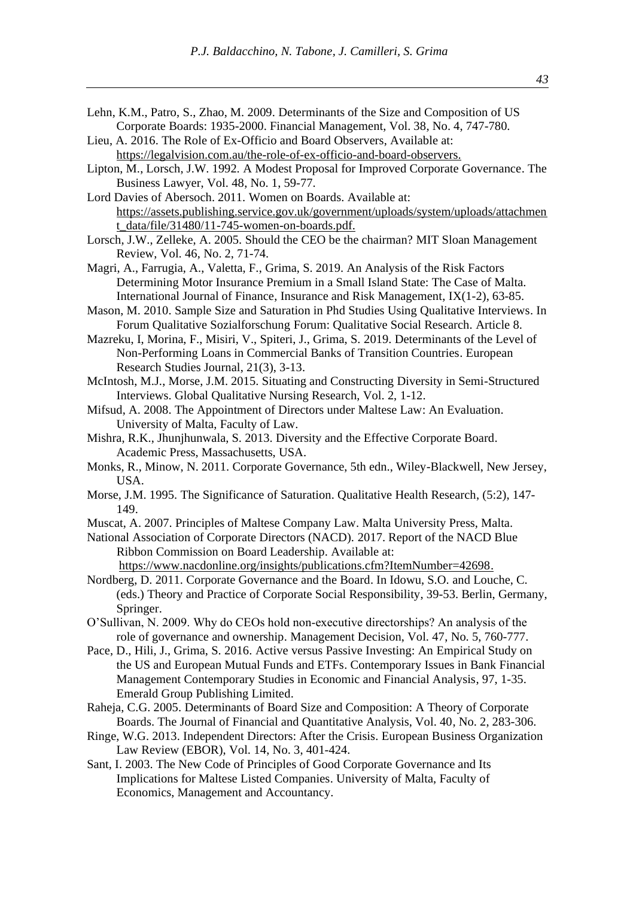- Lehn, K.M., Patro, S., Zhao, M. 2009. Determinants of the Size and Composition of US Corporate Boards: 1935-2000. Financial Management, Vol. 38, No. 4, 747-780.
- Lieu, A. 2016. The Role of Ex-Officio and Board Observers, Available at: https://legalvision.com.au/the-role-of-ex-officio-and-board-observers.
- Lipton, M., Lorsch, J.W. 1992. A Modest Proposal for Improved Corporate Governance. The Business Lawyer, Vol. 48, No. 1, 59-77.

Lord Davies of Abersoch. 2011. Women on Boards. Available at: https://assets.publishing.service.gov.uk/government/uploads/system/uploads/attachmen t\_data/file/31480/11-745-women-on-boards.pdf.

- Magri, A., Farrugia, A., Valetta, F., Grima, S. 2019. An Analysis of the Risk Factors Determining Motor Insurance Premium in a Small Island State: The Case of Malta. International Journal of Finance, Insurance and Risk Management, IX(1-2), 63-85.
- Mason, M. 2010. Sample Size and Saturation in Phd Studies Using Qualitative Interviews. In Forum Qualitative Sozialforschung Forum: Qualitative Social Research. Article 8.
- Mazreku, I, Morina, F., Misiri, V., Spiteri, J., Grima, S. 2019. [Determinants of the Level of](javascript:void(0))  [Non-Performing Loans in Commercial Banks of Transition Countries.](javascript:void(0)) European Research Studies Journal, 21(3), 3-13.
- McIntosh, M.J., Morse, J.M. 2015. Situating and Constructing Diversity in Semi-Structured Interviews. Global Qualitative Nursing Research, Vol. 2, 1-12.
- Mifsud, A. 2008. The Appointment of Directors under Maltese Law: An Evaluation. University of Malta, Faculty of Law.
- Mishra, R.K., Jhunjhunwala, S. 2013. Diversity and the Effective Corporate Board. Academic Press, Massachusetts, USA.
- Monks, R., Minow, N. 2011. Corporate Governance, 5th edn., Wiley-Blackwell, New Jersey, USA.
- Morse, J.M. 1995. The Significance of Saturation. Qualitative Health Research, (5:2), 147- 149.
- Muscat, A. 2007. Principles of Maltese Company Law. Malta University Press, Malta.
- National Association of Corporate Directors (NACD). 2017. Report of the NACD Blue Ribbon Commission on Board Leadership. Available at:

https://www.nacdonline.org/insights/publications.cfm?ItemNumber=42698.

- Nordberg, D. 2011. Corporate Governance and the Board. In Idowu, S.O. and Louche, C. (eds.) Theory and Practice of Corporate Social Responsibility, 39-53. Berlin, Germany, Springer.
- O'Sullivan, N. 2009. Why do CEOs hold non‐executive directorships? An analysis of the role of governance and ownership. Management Decision, Vol. 47, No. 5, 760-777.
- Pace, D., Hili, J., Grima, S. 2016. [Active versus Passive Investing: An](javascript:void(0)) Empirical Study on [the US and European Mutual Funds and ETFs.](javascript:void(0)) Contemporary Issues in Bank Financial Management Contemporary Studies in Economic and Financial Analysis, 97, 1-35. Emerald Group Publishing Limited.
- Raheja, C.G. 2005. Determinants of Board Size and Composition: A Theory of Corporate Boards. The Journal of Financial and Quantitative Analysis, Vol. 40, No. 2, 283-306.
- Ringe, W.G. 2013. Independent Directors: After the Crisis. European Business Organization Law Review (EBOR), Vol. 14, No. 3, 401-424.
- Sant, I. 2003. The New Code of Principles of Good Corporate Governance and Its Implications for Maltese Listed Companies. University of Malta, Faculty of Economics, Management and Accountancy.

Lorsch, J.W., Zelleke, A. 2005. Should the CEO be the chairman? MIT Sloan Management Review, Vol. 46, No. 2, 71-74.